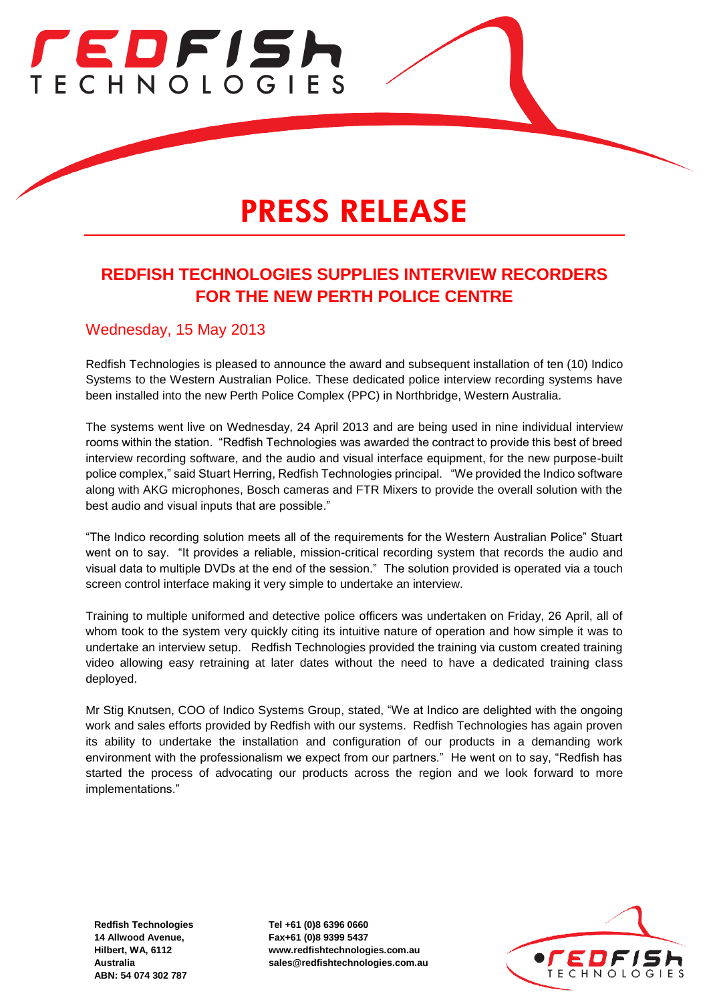

# PRESS RELEASE

# **REDFISH TECHNOLOGIES SUPPLIES INTERVIEW RECORDERS FOR THE NEW PERTH POLICE CENTRE**

#### Wednesday, 15 May 2013

Redfish Technologies is pleased to announce the award and subsequent installation of ten (10) Indico Systems to the Western Australian Police. These dedicated police interview recording systems have been installed into the new Perth Police Complex (PPC) in Northbridge, Western Australia.

The systems went live on Wednesday, 24 April 2013 and are being used in nine individual interview rooms within the station. "Redfish Technologies was awarded the contract to provide this best of breed interview recording software, and the audio and visual interface equipment, for the new purpose-built police complex," said Stuart Herring, Redfish Technologies principal. "We provided the Indico software along with AKG microphones, Bosch cameras and FTR Mixers to provide the overall solution with the best audio and visual inputs that are possible."

"The Indico recording solution meets all of the requirements for the Western Australian Police" Stuart went on to say. "It provides a reliable, mission-critical recording system that records the audio and visual data to multiple DVDs at the end of the session." The solution provided is operated via a touch screen control interface making it very simple to undertake an interview.

Training to multiple uniformed and detective police officers was undertaken on Friday, 26 April, all of whom took to the system very quickly citing its intuitive nature of operation and how simple it was to undertake an interview setup. Redfish Technologies provided the training via custom created training video allowing easy retraining at later dates without the need to have a dedicated training class deployed.

Mr Stig Knutsen, COO of Indico Systems Group, stated, "We at Indico are delighted with the ongoing work and sales efforts provided by Redfish with our systems. Redfish Technologies has again proven its ability to undertake the installation and configuration of our products in a demanding work environment with the professionalism we expect from our partners." He went on to say, "Redfish has started the process of advocating our products across the region and we look forward to more implementations."

**Redfish Technologies 14 Allwood Avenue, Hilbert, WA, 6112 Australia ABN: 54 074 302 787**

**Tel +61 (0)8 6396 0660 Fax+61 (0)8 9399 5437 www.redfishtechnologies.com.au sales@redfishtechnologies.com.au**